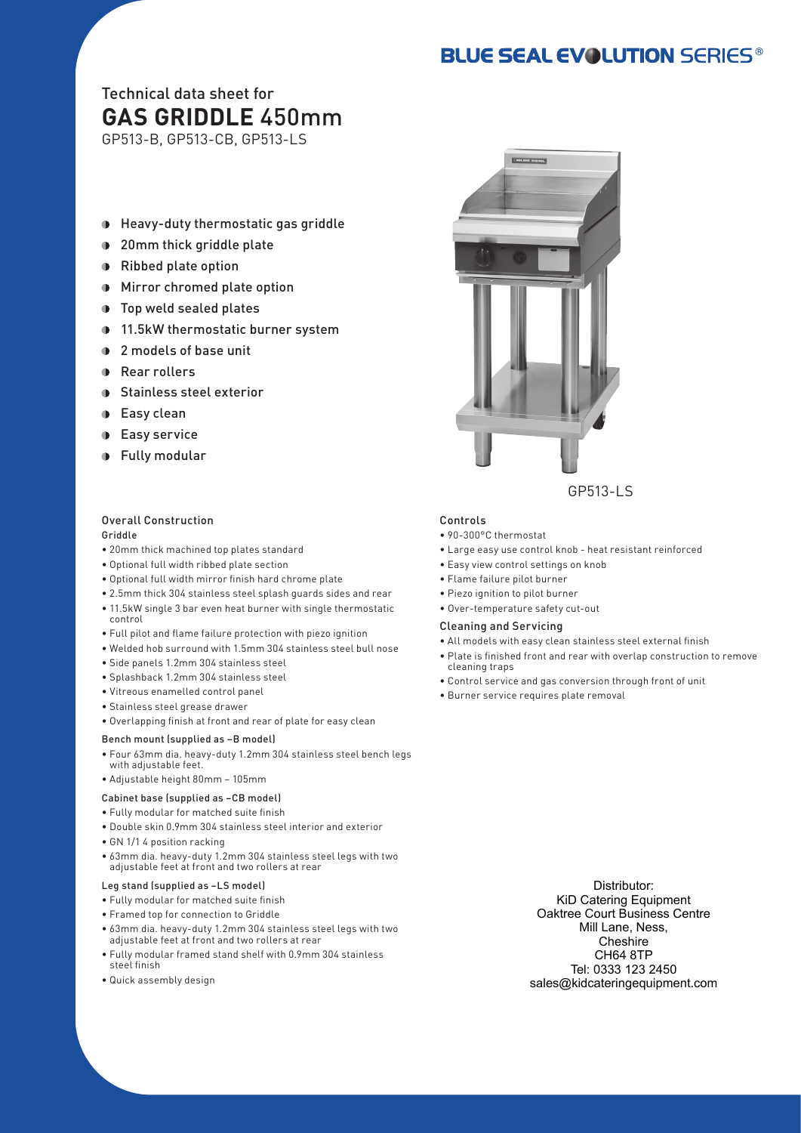# **BLUE SEAL EVOLUTION SERIES®**

# Technical data sheet for **GAS GRIDDLE** 450mm

GP513-B, GP513-CB, GP513-LS

- Heavy-duty thermostatic gas griddle  $\mathbf{O}$
- **1** 20mm thick griddle plate
- Ribbed plate option
- Mirror chromed plate option
- **D** Top weld sealed plates
- **11.5kW thermostatic burner system**
- 2 models of base unit
- **Rear rollers**
- **Stainless steel exterior**
- **D** Easy clean
- Easy service  $\bullet$
- **•** Fully modular

#### Overall Construction Griddle

- 20mm thick machined top plates standard
- Optional full width ribbed plate section
- Optional full width mirror finish hard chrome plate
- 2.5mm thick 304 stainless steel splash guards sides and rear
- 11.5kW single 3 bar even heat burner with single thermostatic control
- Full pilot and flame failure protection with piezo ignition
- Welded hob surround with 1.5mm 304 stainless steel bull nose
- Side panels 1.2mm 304 stainless steel
- Splashback 1.2mm 304 stainless steel
- Vitreous enamelled control panel
- Stainless steel grease drawer
- Overlapping finish at front and rear of plate for easy clean

#### Bench mount (supplied as –B model)

- Four 63mm dia. heavy-duty 1.2mm 304 stainless steel bench legs with adjustable feet.
- Adjustable height 80mm 105mm
- Cabinet base (supplied as –CB model)
- Fully modular for matched suite finish
- Double skin 0.9mm 304 stainless steel interior and exterior
- GN 1/1 4 position racking
- 63mm dia. heavy-duty 1.2mm 304 stainless steel legs with two adjustable feet at front and two rollers at rear

#### Leg stand (supplied as –LS model)

- Fully modular for matched suite finish
- Framed top for connection to Griddle
- 63mm dia. heavy-duty 1.2mm 304 stainless steel legs with two adjustable feet at front and two rollers at rear
- Fully modular framed stand shelf with 0.9mm 304 stainless steel finish
- Quick assembly design



#### Controls

- 90-300°C thermostat
- Large easy use control knob heat resistant reinforced
- Easy view control settings on knob
- Flame failure pilot burner
- Piezo ignition to pilot burner
- Over-temperature safety cut-out

#### Cleaning and Servicing

- All models with easy clean stainless steel external finish
- Plate is finished front and rear with overlap construction to remove
- cleaning traps • Control service and gas conversion through front of unit
- Burner service requires plate removal

Distributor: KiD Catering Equipment Oaktree Court Business Centre Mill Lane, Ness, Cheshire CH64 8TP Tel: 0333 123 2450 sales@kidcateringequipment.com